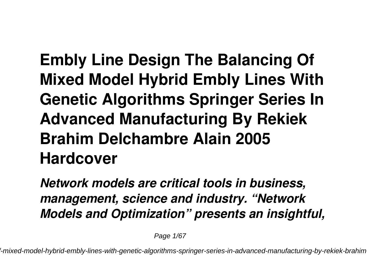**Embly Line Design The Balancing Of Mixed Model Hybrid Embly Lines With Genetic Algorithms Springer Series In Advanced Manufacturing By Rekiek Brahim Delchambre Alain 2005 Hardcover**

*Network models are critical tools in business, management, science and industry. "Network Models and Optimization" presents an insightful,*

Page 1/67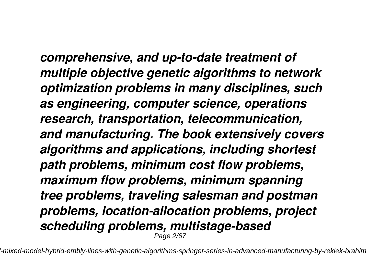*comprehensive, and up-to-date treatment of multiple objective genetic algorithms to network optimization problems in many disciplines, such as engineering, computer science, operations research, transportation, telecommunication, and manufacturing. The book extensively covers algorithms and applications, including shortest path problems, minimum cost flow problems, maximum flow problems, minimum spanning tree problems, traveling salesman and postman problems, location-allocation problems, project scheduling problems, multistage-based* Page 2/67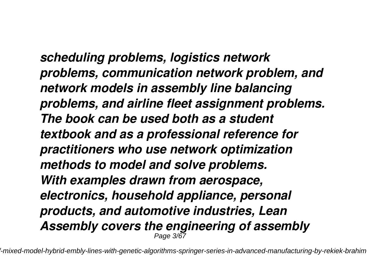*scheduling problems, logistics network problems, communication network problem, and network models in assembly line balancing problems, and airline fleet assignment problems. The book can be used both as a student textbook and as a professional reference for practitioners who use network optimization methods to model and solve problems. With examples drawn from aerospace, electronics, household appliance, personal products, and automotive industries, Lean Assembly covers the engineering of assembly* Page 3/67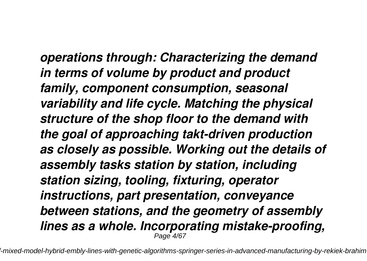*operations through: Characterizing the demand in terms of volume by product and product family, component consumption, seasonal variability and life cycle. Matching the physical structure of the shop floor to the demand with the goal of approaching takt-driven production as closely as possible. Working out the details of assembly tasks station by station, including station sizing, tooling, fixturing, operator instructions, part presentation, conveyance between stations, and the geometry of assembly lines as a whole. Incorporating mistake-proofing,* Page  $4/$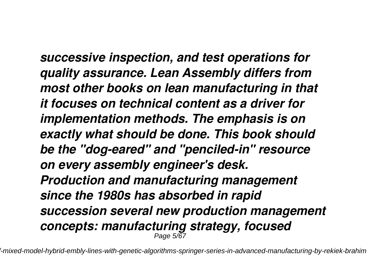*successive inspection, and test operations for quality assurance. Lean Assembly differs from most other books on lean manufacturing in that it focuses on technical content as a driver for implementation methods. The emphasis is on exactly what should be done. This book should be the "dog-eared" and "penciled-in" resource on every assembly engineer's desk. Production and manufacturing management since the 1980s has absorbed in rapid succession several new production management concepts: manufacturing strategy, focused* Page 5/67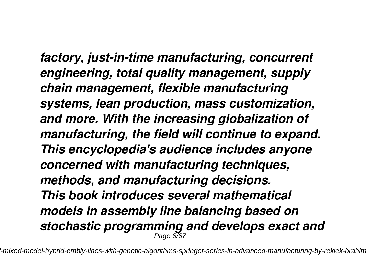*factory, just-in-time manufacturing, concurrent engineering, total quality management, supply chain management, flexible manufacturing systems, lean production, mass customization, and more. With the increasing globalization of manufacturing, the field will continue to expand. This encyclopedia's audience includes anyone concerned with manufacturing techniques, methods, and manufacturing decisions. This book introduces several mathematical models in assembly line balancing based on stochastic programming and develops exact and* Page 6/67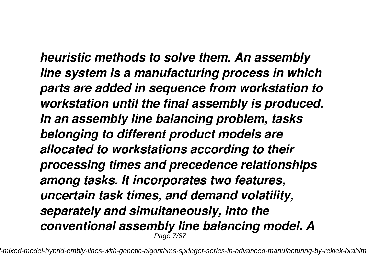*heuristic methods to solve them. An assembly line system is a manufacturing process in which parts are added in sequence from workstation to workstation until the final assembly is produced. In an assembly line balancing problem, tasks belonging to different product models are allocated to workstations according to their processing times and precedence relationships among tasks. It incorporates two features, uncertain task times, and demand volatility, separately and simultaneously, into the conventional assembly line balancing model. A* Page 7/67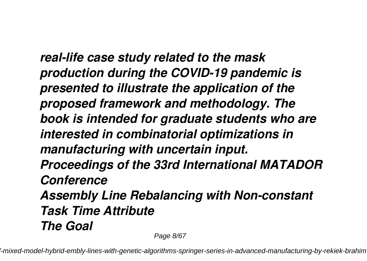*real-life case study related to the mask production during the COVID-19 pandemic is presented to illustrate the application of the proposed framework and methodology. The book is intended for graduate students who are interested in combinatorial optimizations in manufacturing with uncertain input. Proceedings of the 33rd International MATADOR Conference Assembly Line Rebalancing with Non-constant Task Time Attribute The Goal*

Page 8/67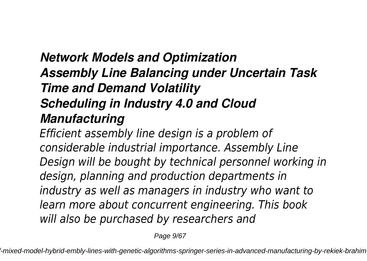# *Network Models and Optimization Assembly Line Balancing under Uncertain Task Time and Demand Volatility Scheduling in Industry 4.0 and Cloud Manufacturing*

*Efficient assembly line design is a problem of considerable industrial importance. Assembly Line Design will be bought by technical personnel working in design, planning and production departments in industry as well as managers in industry who want to learn more about concurrent engineering. This book will also be purchased by researchers and*

Page  $9/67$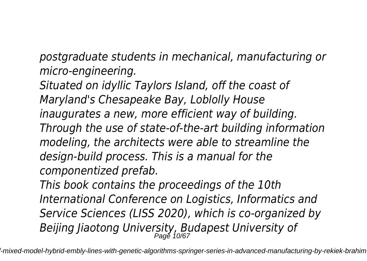*postgraduate students in mechanical, manufacturing or micro-engineering.*

*Situated on idyllic Taylors Island, off the coast of Maryland's Chesapeake Bay, Loblolly House inaugurates a new, more efficient way of building. Through the use of state-of-the-art building information modeling, the architects were able to streamline the design-build process. This is a manual for the componentized prefab.*

*This book contains the proceedings of the 10th International Conference on Logistics, Informatics and Service Sciences (LISS 2020), which is co-organized by Beijing Jiaotong University, Budapest University of* Page 10/67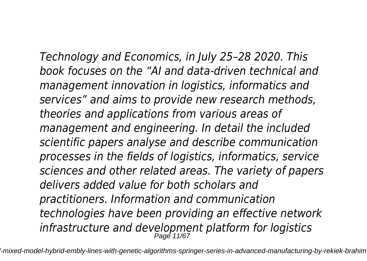*Technology and Economics, in July 25–28 2020. This book focuses on the "AI and data-driven technical and management innovation in logistics, informatics and services" and aims to provide new research methods, theories and applications from various areas of management and engineering. In detail the included scientific papers analyse and describe communication processes in the fields of logistics, informatics, service sciences and other related areas. The variety of papers delivers added value for both scholars and practitioners. Information and communication technologies have been providing an effective network infrastructure and development platform for logistics* Page 11/67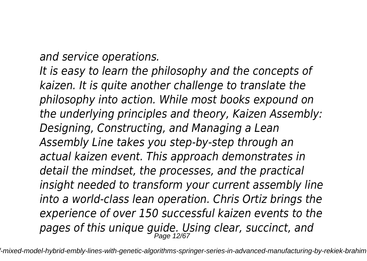*and service operations.*

*It is easy to learn the philosophy and the concepts of kaizen. It is quite another challenge to translate the philosophy into action. While most books expound on the underlying principles and theory, Kaizen Assembly: Designing, Constructing, and Managing a Lean Assembly Line takes you step-by-step through an actual kaizen event. This approach demonstrates in detail the mindset, the processes, and the practical insight needed to transform your current assembly line into a world-class lean operation. Chris Ortiz brings the experience of over 150 successful kaizen events to the pages of this unique guide. Using clear, succinct, and* Page 12/67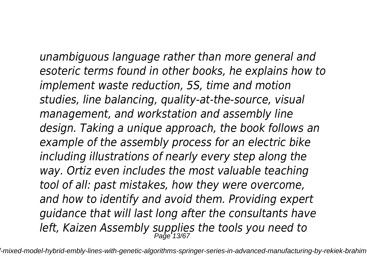*unambiguous language rather than more general and esoteric terms found in other books, he explains how to implement waste reduction, 5S, time and motion studies, line balancing, quality-at-the-source, visual management, and workstation and assembly line design. Taking a unique approach, the book follows an example of the assembly process for an electric bike including illustrations of nearly every step along the way. Ortiz even includes the most valuable teaching tool of all: past mistakes, how they were overcome, and how to identify and avoid them. Providing expert guidance that will last long after the consultants have left, Kaizen Assembly supplies the tools you need to* Page 13/67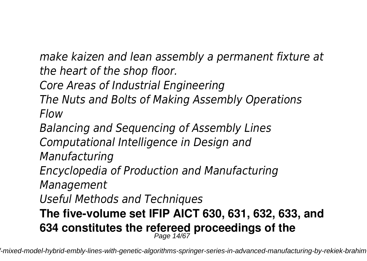*make kaizen and lean assembly a permanent fixture at the heart of the shop floor.*

*Core Areas of Industrial Engineering*

*The Nuts and Bolts of Making Assembly Operations Flow*

*Balancing and Sequencing of Assembly Lines Computational Intelligence in Design and Manufacturing*

*Encyclopedia of Production and Manufacturing Management*

*Useful Methods and Techniques*

**The five-volume set IFIP AICT 630, 631, 632, 633, and 634 constitutes the refereed proceedings of the** Page 14/67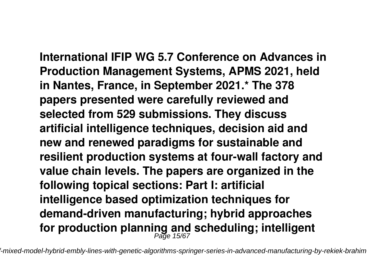**International IFIP WG 5.7 Conference on Advances in Production Management Systems, APMS 2021, held in Nantes, France, in September 2021.\* The 378 papers presented were carefully reviewed and selected from 529 submissions. They discuss artificial intelligence techniques, decision aid and new and renewed paradigms for sustainable and resilient production systems at four-wall factory and value chain levels. The papers are organized in the following topical sections: Part I: artificial intelligence based optimization techniques for demand-driven manufacturing; hybrid approaches for production planning and scheduling; intelligent** Page 15/67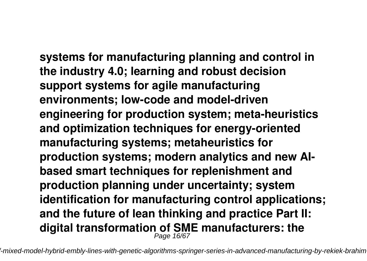**systems for manufacturing planning and control in the industry 4.0; learning and robust decision support systems for agile manufacturing environments; low-code and model-driven engineering for production system; meta-heuristics and optimization techniques for energy-oriented manufacturing systems; metaheuristics for production systems; modern analytics and new AIbased smart techniques for replenishment and production planning under uncertainty; system identification for manufacturing control applications; and the future of lean thinking and practice Part II: digital transformation of SME manufacturers: the** Page 16/67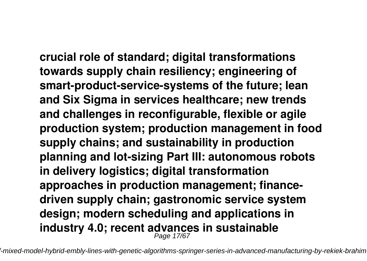**crucial role of standard; digital transformations towards supply chain resiliency; engineering of smart-product-service-systems of the future; lean and Six Sigma in services healthcare; new trends and challenges in reconfigurable, flexible or agile production system; production management in food supply chains; and sustainability in production planning and lot-sizing Part III: autonomous robots in delivery logistics; digital transformation approaches in production management; financedriven supply chain; gastronomic service system design; modern scheduling and applications in industry 4.0; recent advances in sustainable** Page 17/67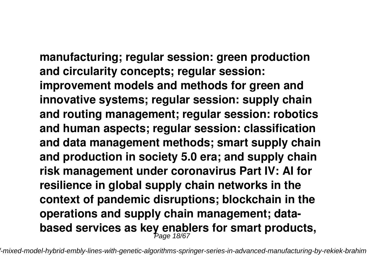**manufacturing; regular session: green production and circularity concepts; regular session: improvement models and methods for green and innovative systems; regular session: supply chain and routing management; regular session: robotics and human aspects; regular session: classification and data management methods; smart supply chain and production in society 5.0 era; and supply chain risk management under coronavirus Part IV: AI for resilience in global supply chain networks in the**

**context of pandemic disruptions; blockchain in the operations and supply chain management; databased services as key enablers for smart products,** Page 18/67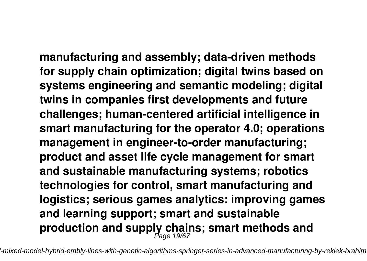**manufacturing and assembly; data-driven methods for supply chain optimization; digital twins based on systems engineering and semantic modeling; digital twins in companies first developments and future challenges; human-centered artificial intelligence in smart manufacturing for the operator 4.0; operations management in engineer-to-order manufacturing; product and asset life cycle management for smart and sustainable manufacturing systems; robotics technologies for control, smart manufacturing and logistics; serious games analytics: improving games and learning support; smart and sustainable production and supply chains; smart methods and** Page 19/67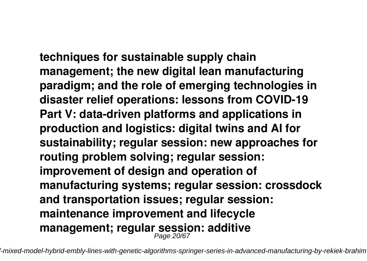**techniques for sustainable supply chain management; the new digital lean manufacturing paradigm; and the role of emerging technologies in disaster relief operations: lessons from COVID-19 Part V: data-driven platforms and applications in production and logistics: digital twins and AI for sustainability; regular session: new approaches for routing problem solving; regular session: improvement of design and operation of manufacturing systems; regular session: crossdock and transportation issues; regular session: maintenance improvement and lifecycle management; regular session: additive** Page 20/67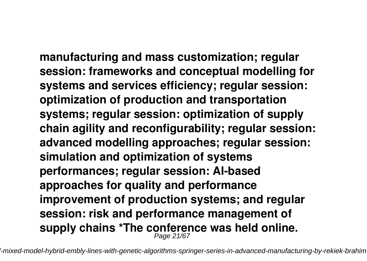**manufacturing and mass customization; regular session: frameworks and conceptual modelling for systems and services efficiency; regular session: optimization of production and transportation systems; regular session: optimization of supply chain agility and reconfigurability; regular session: advanced modelling approaches; regular session: simulation and optimization of systems performances; regular session: AI-based approaches for quality and performance improvement of production systems; and regular session: risk and performance management of supply chains \*The conference was held online.** Page 21/67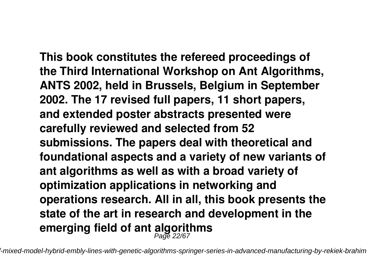**This book constitutes the refereed proceedings of the Third International Workshop on Ant Algorithms, ANTS 2002, held in Brussels, Belgium in September 2002. The 17 revised full papers, 11 short papers, and extended poster abstracts presented were carefully reviewed and selected from 52 submissions. The papers deal with theoretical and foundational aspects and a variety of new variants of ant algorithms as well as with a broad variety of optimization applications in networking and operations research. All in all, this book presents the state of the art in research and development in the emerging field of ant algorithms** Page 22/67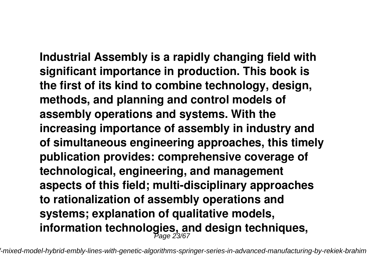**Industrial Assembly is a rapidly changing field with significant importance in production. This book is the first of its kind to combine technology, design, methods, and planning and control models of assembly operations and systems. With the increasing importance of assembly in industry and of simultaneous engineering approaches, this timely publication provides: comprehensive coverage of technological, engineering, and management aspects of this field; multi-disciplinary approaches to rationalization of assembly operations and systems; explanation of qualitative models, information technologies, and design techniques,** Page 23/67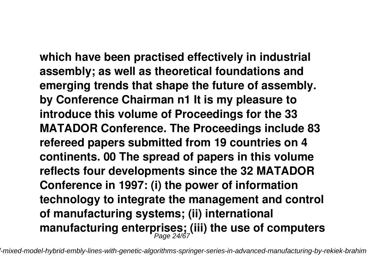**which have been practised effectively in industrial assembly; as well as theoretical foundations and emerging trends that shape the future of assembly. by Conference Chairman n1 It is my pleasure to introduce this volume of Proceedings for the 33 MATADOR Conference. The Proceedings include 83 refereed papers submitted from 19 countries on 4 continents. 00 The spread of papers in this volume reflects four developments since the 32 MATADOR Conference in 1997: (i) the power of information technology to integrate the management and control of manufacturing systems; (ii) international manufacturing enterprises; (iii) the use of computers** Page 24/67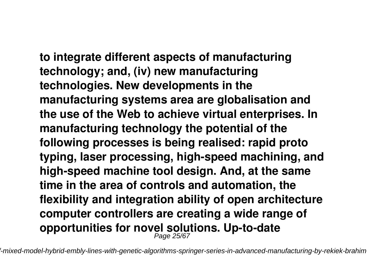**to integrate different aspects of manufacturing technology; and, (iv) new manufacturing technologies. New developments in the manufacturing systems area are globalisation and the use of the Web to achieve virtual enterprises. In manufacturing technology the potential of the following processes is being realised: rapid proto typing, laser processing, high-speed machining, and high-speed machine tool design. And, at the same time in the area of controls and automation, the flexibility and integration ability of open architecture computer controllers are creating a wide range of opportunities for novel solutions. Up-to-date** Page 25/67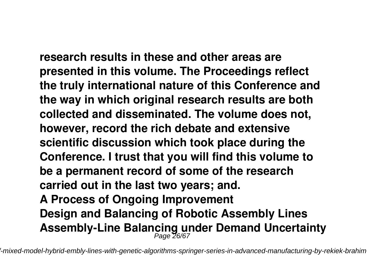**research results in these and other areas are presented in this volume. The Proceedings reflect the truly international nature of this Conference and the way in which original research results are both collected and disseminated. The volume does not, however, record the rich debate and extensive scientific discussion which took place during the Conference. I trust that you will find this volume to be a permanent record of some of the research carried out in the last two years; and. A Process of Ongoing Improvement Design and Balancing of Robotic Assembly Lines**

**Assembly-Line Balancing under Demand Uncertainty** Page 26/67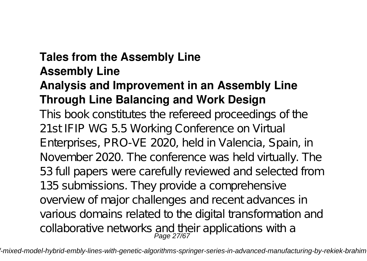#### **Tales from the Assembly Line Assembly Line**

# **Analysis and Improvement in an Assembly Line Through Line Balancing and Work Design**

This book constitutes the refereed proceedings of the 21st IFIP WG 5.5 Working Conference on Virtual Enterprises, PRO-VE 2020, held in Valencia, Spain, in November 2020. The conference was held virtually. The 53 full papers were carefully reviewed and selected from 135 submissions. They provide a comprehensive overview of major challenges and recent advances in various domains related to the digital transformation and collaborative networks and their applications with a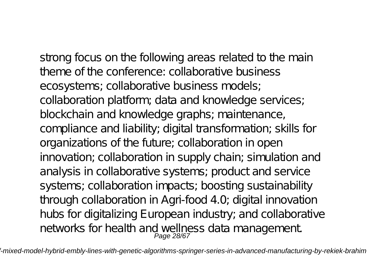strong focus on the following areas related to the main theme of the conference: collaborative business ecosystems; collaborative business models; collaboration platform; data and knowledge services; blockchain and knowledge graphs; maintenance, compliance and liability; digital transformation; skills for organizations of the future; collaboration in open innovation; collaboration in supply chain; simulation and analysis in collaborative systems; product and service systems; collaboration impacts; boosting sustainability through collaboration in Agri-food 4.0; digital innovation hubs for digitalizing European industry; and collaborative networks for health and wellness data management.<br>Page 28/67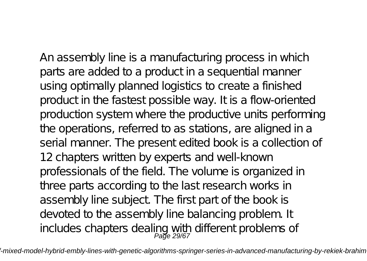An assembly line is a manufacturing process in which parts are added to a product in a sequential manner using optimally planned logistics to create a finished product in the fastest possible way. It is a flow-oriented production system where the productive units performing the operations, referred to as stations, are aligned in a serial manner. The present edited book is a collection of 12 chapters written by experts and well-known professionals of the field. The volume is organized in three parts according to the last research works in assembly line subject. The first part of the book is devoted to the assembly line balancing problem. It includes chapters dealing with different problems of Page 29/67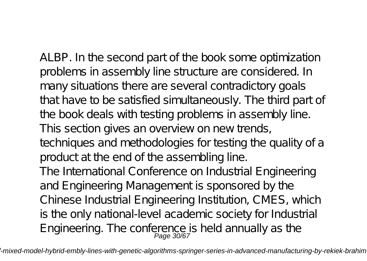ALBP. In the second part of the book some optimization problems in assembly line structure are considered. In many situations there are several contradictory goals that have to be satisfied simultaneously. The third part of the book deals with testing problems in assembly line. This section gives an overview on new trends, techniques and methodologies for testing the quality of a product at the end of the assembling line. The International Conference on Industrial Engineering and Engineering Management is sponsored by the Chinese Industrial Engineering Institution, CMES, which is the only national-level academic society for Industrial

Engineering. The conference is held annually as the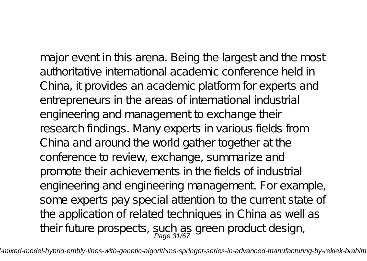major event in this arena. Being the largest and the most authoritative international academic conference held in China, it provides an academic platform for experts and entrepreneurs in the areas of international industrial engineering and management to exchange their research findings. Many experts in various fields from China and around the world gather together at the conference to review, exchange, summarize and promote their achievements in the fields of industrial engineering and engineering management. For example, some experts pay special attention to the current state of the application of related techniques in China as well as their future prospects, such as green product design,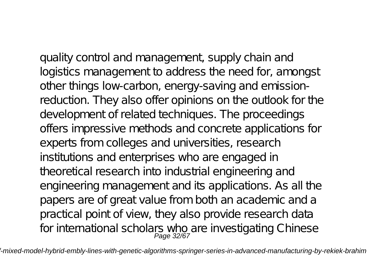quality control and management, supply chain and logistics management to address the need for, amongst other things low-carbon, energy-saving and emissionreduction. They also offer opinions on the outlook for the development of related techniques. The proceedings offers impressive methods and concrete applications for experts from colleges and universities, research institutions and enterprises who are engaged in theoretical research into industrial engineering and engineering management and its applications. As all the papers are of great value from both an academic and a practical point of view, they also provide research data for international scholars who are investigating Chinese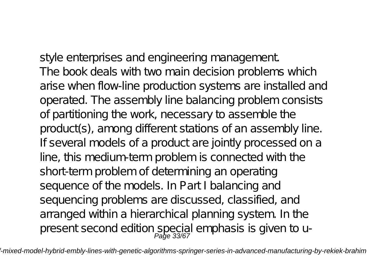style enterprises and engineering management. The book deals with two main decision problems which arise when flow-line production systems are installed and operated. The assembly line balancing problem consists of partitioning the work, necessary to assemble the product(s), among different stations of an assembly line. If several models of a product are jointly processed on a line, this medium-term problem is connected with the short-term problem of determining an operating sequence of the models. In Part I balancing and sequencing problems are discussed, classified, and arranged within a hierarchical planning system. In the present second edition special emphasis is given to u-<br>Page 33/67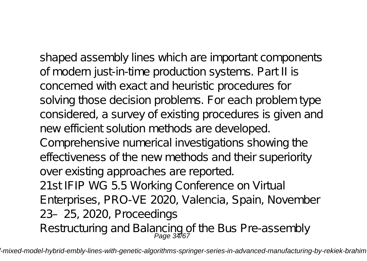shaped assembly lines which are important components of modern just-in-time production systems. Part II is concerned with exact and heuristic procedures for solving those decision problems. For each problem type considered, a survey of existing procedures is given and new efficient solution methods are developed. Comprehensive numerical investigations showing the effectiveness of the new methods and their superiority over existing approaches are reported. 21st IFIP WG 5.5 Working Conference on Virtual Enterprises, PRO-VE 2020, Valencia, Spain, November 23–25, 2020, Proceedings Restructuring and Balancing of the Bus Pre-assembly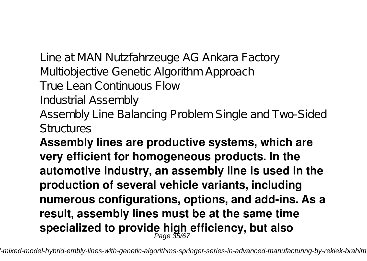Line at MAN Nutzfahrzeuge AG Ankara Factory Multiobjective Genetic Algorithm Approach True Lean Continuous Flow Industrial Assembly Assembly Line Balancing Problem Single and Two-Sided Structures

**Assembly lines are productive systems, which are very efficient for homogeneous products. In the automotive industry, an assembly line is used in the production of several vehicle variants, including numerous configurations, options, and add-ins. As a result, assembly lines must be at the same time specialized to provide high efficiency, but also** Page 35/67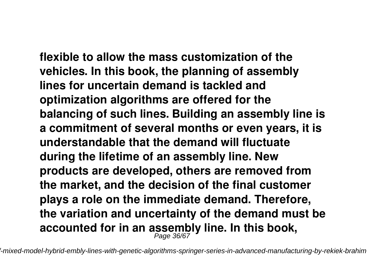**flexible to allow the mass customization of the vehicles. In this book, the planning of assembly lines for uncertain demand is tackled and optimization algorithms are offered for the balancing of such lines. Building an assembly line is a commitment of several months or even years, it is understandable that the demand will fluctuate during the lifetime of an assembly line. New products are developed, others are removed from the market, and the decision of the final customer plays a role on the immediate demand. Therefore, the variation and uncertainty of the demand must be** accounted for in an assembly line. In this book,<br>*Page 36/67*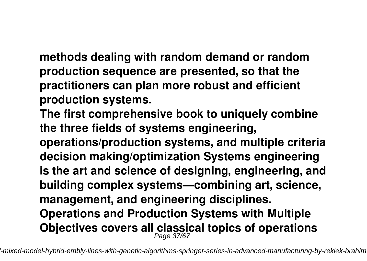**methods dealing with random demand or random production sequence are presented, so that the practitioners can plan more robust and efficient production systems.**

**The first comprehensive book to uniquely combine the three fields of systems engineering,**

**operations/production systems, and multiple criteria decision making/optimization Systems engineering is the art and science of designing, engineering, and building complex systems—combining art, science, management, and engineering disciplines. Operations and Production Systems with Multiple Objectives covers all classical topics of operations** Page 37/67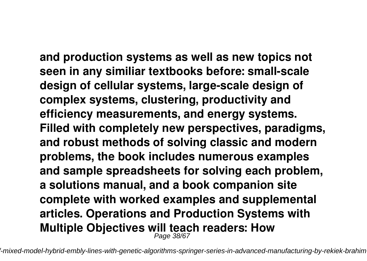**and production systems as well as new topics not seen in any similiar textbooks before: small-scale design of cellular systems, large-scale design of complex systems, clustering, productivity and efficiency measurements, and energy systems. Filled with completely new perspectives, paradigms, and robust methods of solving classic and modern problems, the book includes numerous examples and sample spreadsheets for solving each problem, a solutions manual, and a book companion site complete with worked examples and supplemental articles. Operations and Production Systems with Multiple Objectives will teach readers: How** Page 38/67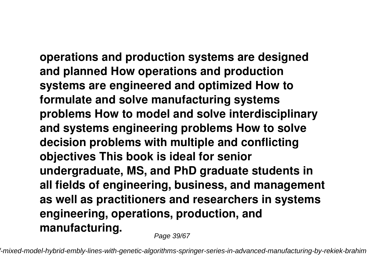**operations and production systems are designed and planned How operations and production systems are engineered and optimized How to formulate and solve manufacturing systems problems How to model and solve interdisciplinary and systems engineering problems How to solve decision problems with multiple and conflicting objectives This book is ideal for senior undergraduate, MS, and PhD graduate students in all fields of engineering, business, and management as well as practitioners and researchers in systems engineering, operations, production, and**

**manufacturing.**

Page 39/67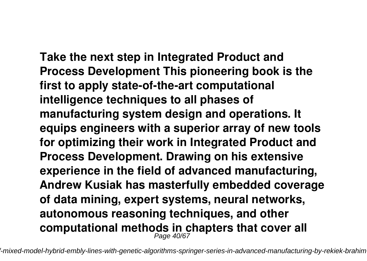**Take the next step in Integrated Product and Process Development This pioneering book is the first to apply state-of-the-art computational intelligence techniques to all phases of manufacturing system design and operations. It equips engineers with a superior array of new tools for optimizing their work in Integrated Product and Process Development. Drawing on his extensive experience in the field of advanced manufacturing, Andrew Kusiak has masterfully embedded coverage of data mining, expert systems, neural networks, autonomous reasoning techniques, and other computational methods in chapters that cover all** Page 40/67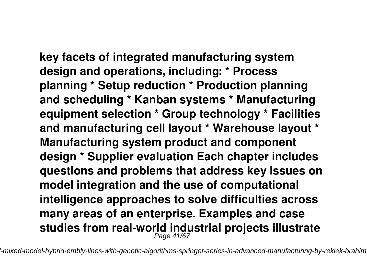**key facets of integrated manufacturing system design and operations, including: \* Process planning \* Setup reduction \* Production planning and scheduling \* Kanban systems \* Manufacturing equipment selection \* Group technology \* Facilities and manufacturing cell layout \* Warehouse layout \* Manufacturing system product and component design \* Supplier evaluation Each chapter includes questions and problems that address key issues on model integration and the use of computational intelligence approaches to solve difficulties across many areas of an enterprise. Examples and case studies from real-world industrial projects illustrate** Page 41/67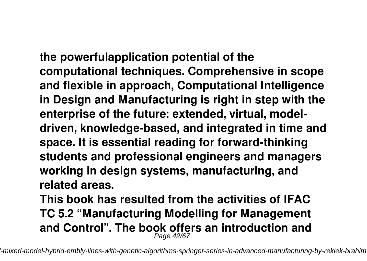**the powerfulapplication potential of the computational techniques. Comprehensive in scope and flexible in approach, Computational Intelligence in Design and Manufacturing is right in step with the enterprise of the future: extended, virtual, modeldriven, knowledge-based, and integrated in time and space. It is essential reading for forward-thinking students and professional engineers and managers working in design systems, manufacturing, and related areas.**

**This book has resulted from the activities of IFAC TC 5.2 "Manufacturing Modelling for Management and Control". The book offers an introduction and** Page 42/67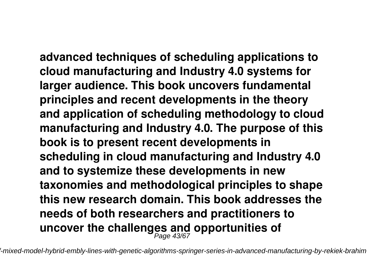**advanced techniques of scheduling applications to cloud manufacturing and Industry 4.0 systems for larger audience. This book uncovers fundamental principles and recent developments in the theory and application of scheduling methodology to cloud manufacturing and Industry 4.0. The purpose of this book is to present recent developments in scheduling in cloud manufacturing and Industry 4.0 and to systemize these developments in new taxonomies and methodological principles to shape this new research domain. This book addresses the needs of both researchers and practitioners to uncover the challenges and opportunities of** Page 43/67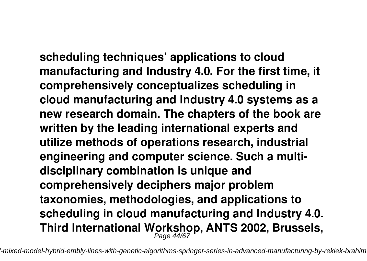**scheduling techniques' applications to cloud manufacturing and Industry 4.0. For the first time, it comprehensively conceptualizes scheduling in cloud manufacturing and Industry 4.0 systems as a new research domain. The chapters of the book are written by the leading international experts and utilize methods of operations research, industrial engineering and computer science. Such a multidisciplinary combination is unique and comprehensively deciphers major problem taxonomies, methodologies, and applications to scheduling in cloud manufacturing and Industry 4.0. Third International Workshop, ANTS 2002, Brussels,** Page 44/67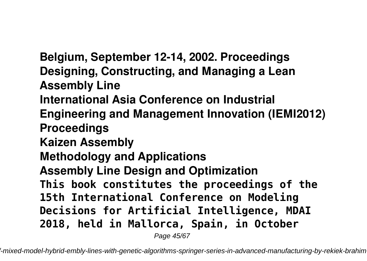**Belgium, September 12-14, 2002. Proceedings Designing, Constructing, and Managing a Lean Assembly Line International Asia Conference on Industrial Engineering and Management Innovation (IEMI2012) Proceedings Kaizen Assembly Methodology and Applications Assembly Line Design and Optimization This book constitutes the proceedings of the 15th International Conference on Modeling Decisions for Artificial Intelligence, MDAI 2018, held in Mallorca, Spain, in October**

Page 45/67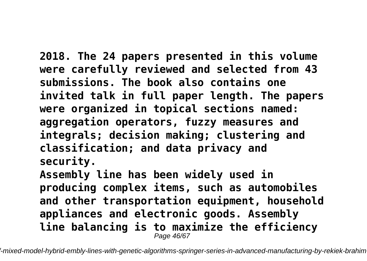**2018. The 24 papers presented in this volume were carefully reviewed and selected from 43 submissions. The book also contains one invited talk in full paper length. The papers were organized in topical sections named: aggregation operators, fuzzy measures and integrals; decision making; clustering and classification; and data privacy and security. Assembly line has been widely used in producing complex items, such as automobiles**

**and other transportation equipment, household appliances and electronic goods. Assembly line balancing is to maximize the efficiency** Page 46/67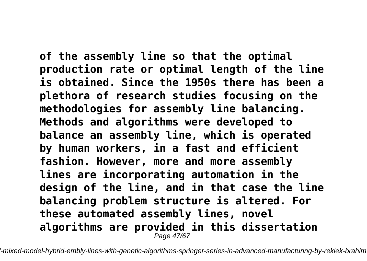**of the assembly line so that the optimal production rate or optimal length of the line is obtained. Since the 1950s there has been a plethora of research studies focusing on the methodologies for assembly line balancing. Methods and algorithms were developed to balance an assembly line, which is operated by human workers, in a fast and efficient fashion. However, more and more assembly lines are incorporating automation in the design of the line, and in that case the line balancing problem structure is altered. For these automated assembly lines, novel algorithms are provided in this dissertation** Page 47/67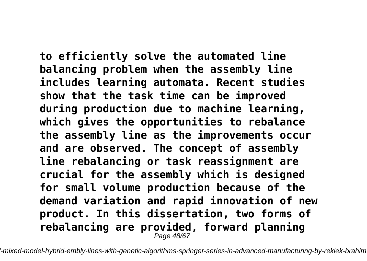**to efficiently solve the automated line balancing problem when the assembly line includes learning automata. Recent studies show that the task time can be improved during production due to machine learning, which gives the opportunities to rebalance the assembly line as the improvements occur and are observed. The concept of assembly line rebalancing or task reassignment are crucial for the assembly which is designed for small volume production because of the demand variation and rapid innovation of new product. In this dissertation, two forms of rebalancing are provided, forward planning** Page 48/67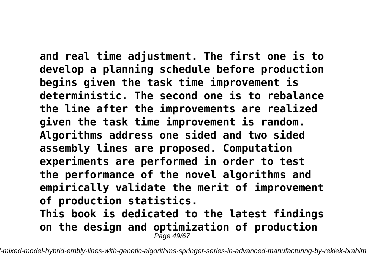**and real time adjustment. The first one is to develop a planning schedule before production begins given the task time improvement is deterministic. The second one is to rebalance the line after the improvements are realized given the task time improvement is random. Algorithms address one sided and two sided assembly lines are proposed. Computation experiments are performed in order to test the performance of the novel algorithms and empirically validate the merit of improvement of production statistics. This book is dedicated to the latest findings on the design and optimization of production**

Page 49/67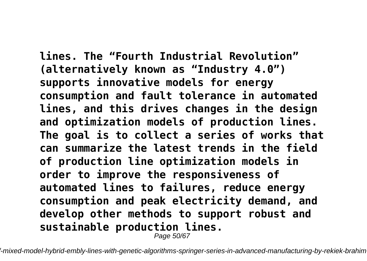**lines. The "Fourth Industrial Revolution" (alternatively known as "Industry 4.0") supports innovative models for energy consumption and fault tolerance in automated lines, and this drives changes in the design and optimization models of production lines. The goal is to collect a series of works that can summarize the latest trends in the field of production line optimization models in order to improve the responsiveness of automated lines to failures, reduce energy consumption and peak electricity demand, and develop other methods to support robust and sustainable production lines.**

Page 50/67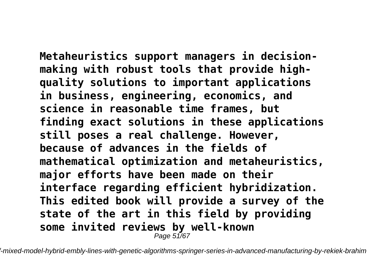**Metaheuristics support managers in decisionmaking with robust tools that provide highquality solutions to important applications in business, engineering, economics, and science in reasonable time frames, but finding exact solutions in these applications still poses a real challenge. However, because of advances in the fields of mathematical optimization and metaheuristics, major efforts have been made on their interface regarding efficient hybridization. This edited book will provide a survey of the state of the art in this field by providing some invited reviews by well-known** Page 51/67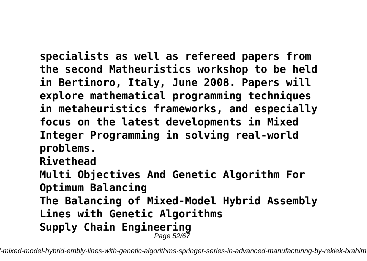**specialists as well as refereed papers from the second Matheuristics workshop to be held in Bertinoro, Italy, June 2008. Papers will explore mathematical programming techniques in metaheuristics frameworks, and especially focus on the latest developments in Mixed Integer Programming in solving real-world problems. Rivethead Multi Objectives And Genetic Algorithm For Optimum Balancing The Balancing of Mixed-Model Hybrid Assembly Lines with Genetic Algorithms Supply Chain Engineering** Page 52/67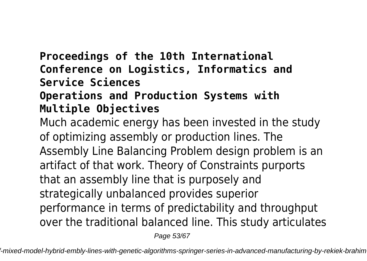## **Proceedings of the 10th International Conference on Logistics, Informatics and Service Sciences**

#### **Operations and Production Systems with Multiple Objectives**

Much academic energy has been invested in the study of optimizing assembly or production lines. The Assembly Line Balancing Problem design problem is an artifact of that work. Theory of Constraints purports that an assembly line that is purposely and strategically unbalanced provides superior performance in terms of predictability and throughput over the traditional balanced line. This study articulates

Page 53/67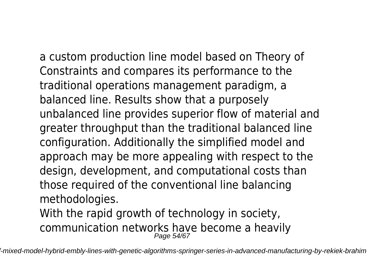a custom production line model based on Theory of Constraints and compares its performance to the traditional operations management paradigm, a balanced line. Results show that a purposely unbalanced line provides superior flow of material and greater throughput than the traditional balanced line configuration. Additionally the simplified model and approach may be more appealing with respect to the design, development, and computational costs than those required of the conventional line balancing methodologies.

With the rapid growth of technology in society, communication networks have become a heavily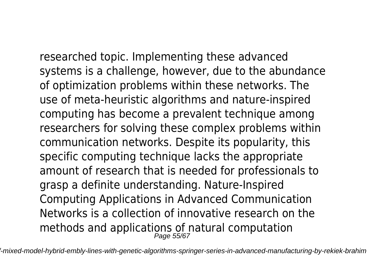researched topic. Implementing these advanced

systems is a challenge, however, due to the abundance of optimization problems within these networks. The use of meta-heuristic algorithms and nature-inspired computing has become a prevalent technique among researchers for solving these complex problems within communication networks. Despite its popularity, this specific computing technique lacks the appropriate amount of research that is needed for professionals to grasp a definite understanding. Nature-Inspired Computing Applications in Advanced Communication Networks is a collection of innovative research on the methods and applications of natural computation Page 55/67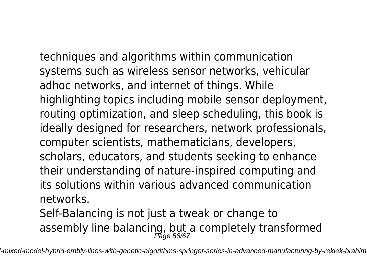techniques and algorithms within communication systems such as wireless sensor networks, vehicular adhoc networks, and internet of things. While highlighting topics including mobile sensor deployment, routing optimization, and sleep scheduling, this book is ideally designed for researchers, network professionals, computer scientists, mathematicians, developers, scholars, educators, and students seeking to enhance their understanding of nature-inspired computing and its solutions within various advanced communication networks.

Self-Balancing is not just a tweak or change to assembly line balancing, but a completely transformed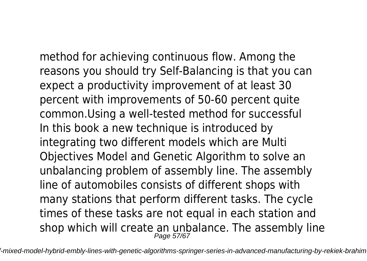method for achieving continuous flow. Among the reasons you should try Self-Balancing is that you can expect a productivity improvement of at least 30 percent with improvements of 50-60 percent quite common.Using a well-tested method for successful In this book a new technique is introduced by integrating two different models which are Multi Objectives Model and Genetic Algorithm to solve an unbalancing problem of assembly line. The assembly line of automobiles consists of different shops with many stations that perform different tasks. The cycle times of these tasks are not equal in each station and shop which will create an unbalance. The assembly line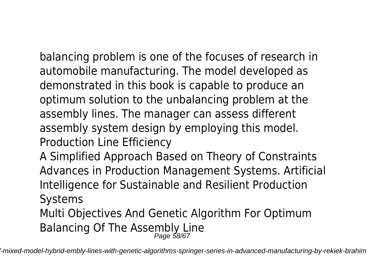balancing problem is one of the focuses of research in automobile manufacturing. The model developed as demonstrated in this book is capable to produce an optimum solution to the unbalancing problem at the assembly lines. The manager can assess different assembly system design by employing this model. Production Line Efficiency

A Simplified Approach Based on Theory of Constraints Advances in Production Management Systems. Artificial Intelligence for Sustainable and Resilient Production Systems

Multi Objectives And Genetic Algorithm For Optimum Balancing Of The Assembly Line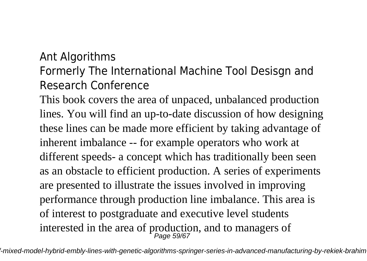## Ant Algorithms

# Formerly The International Machine Tool Desisgn and Research Conference

This book covers the area of unpaced, unbalanced production lines. You will find an up-to-date discussion of how designing these lines can be made more efficient by taking advantage of inherent imbalance -- for example operators who work at different speeds- a concept which has traditionally been seen as an obstacle to efficient production. A series of experiments are presented to illustrate the issues involved in improving performance through production line imbalance. This area is of interest to postgraduate and executive level students interested in the area of production, and to managers of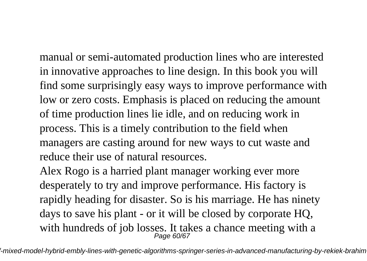manual or semi-automated production lines who are interested in innovative approaches to line design. In this book you will find some surprisingly easy ways to improve performance with low or zero costs. Emphasis is placed on reducing the amount of time production lines lie idle, and on reducing work in process. This is a timely contribution to the field when managers are casting around for new ways to cut waste and reduce their use of natural resources.

Alex Rogo is a harried plant manager working ever more desperately to try and improve performance. His factory is rapidly heading for disaster. So is his marriage. He has ninety days to save his plant - or it will be closed by corporate HQ, with hundreds of job losses. It takes a chance meeting with a Page 60/67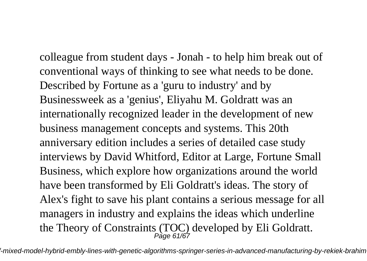colleague from student days - Jonah - to help him break out of conventional ways of thinking to see what needs to be done. Described by Fortune as a 'guru to industry' and by Businessweek as a 'genius', Eliyahu M. Goldratt was an internationally recognized leader in the development of new business management concepts and systems. This 20th anniversary edition includes a series of detailed case study interviews by David Whitford, Editor at Large, Fortune Small Business, which explore how organizations around the world have been transformed by Eli Goldratt's ideas. The story of Alex's fight to save his plant contains a serious message for all managers in industry and explains the ideas which underline the Theory of Constraints (TOC) developed by Eli Goldratt.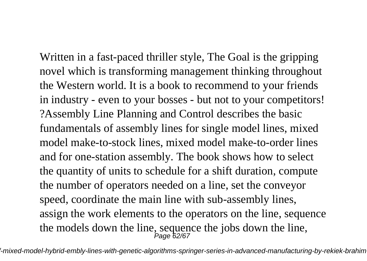Written in a fast-paced thriller style, The Goal is the gripping novel which is transforming management thinking throughout the Western world. It is a book to recommend to your friends in industry - even to your bosses - but not to your competitors! ?Assembly Line Planning and Control describes the basic fundamentals of assembly lines for single model lines, mixed model make-to-stock lines, mixed model make-to-order lines and for one-station assembly. The book shows how to select the quantity of units to schedule for a shift duration, compute the number of operators needed on a line, set the conveyor speed, coordinate the main line with sub-assembly lines, assign the work elements to the operators on the line, sequence the models down the line, sequence the jobs down the line,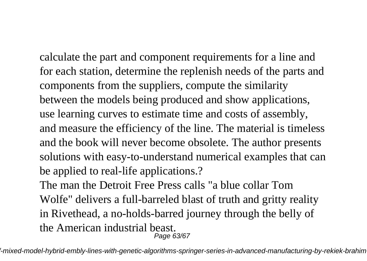calculate the part and component requirements for a line and for each station, determine the replenish needs of the parts and components from the suppliers, compute the similarity between the models being produced and show applications, use learning curves to estimate time and costs of assembly, and measure the efficiency of the line. The material is timeless and the book will never become obsolete. The author presents solutions with easy-to-understand numerical examples that can be applied to real-life applications.? The man the Detroit Free Press calls "a blue collar Tom Wolfe" delivers a full-barreled blast of truth and gritty reality in Rivethead, a no-holds-barred journey through the belly of

the American industrial beast.

Page 63/67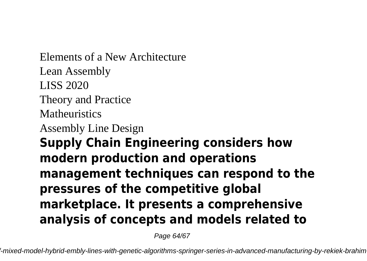Elements of a New Architecture Lean Assembly LISS 2020 Theory and Practice **Matheuristics** Assembly Line Design **Supply Chain Engineering considers how modern production and operations management techniques can respond to the pressures of the competitive global marketplace. It presents a comprehensive analysis of concepts and models related to**

Page 64/67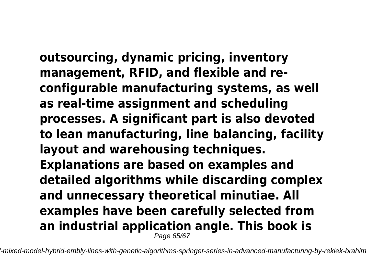**outsourcing, dynamic pricing, inventory management, RFID, and flexible and reconfigurable manufacturing systems, as well as real-time assignment and scheduling processes. A significant part is also devoted to lean manufacturing, line balancing, facility layout and warehousing techniques. Explanations are based on examples and detailed algorithms while discarding complex and unnecessary theoretical minutiae. All examples have been carefully selected from an industrial application angle. This book is** Page 65/67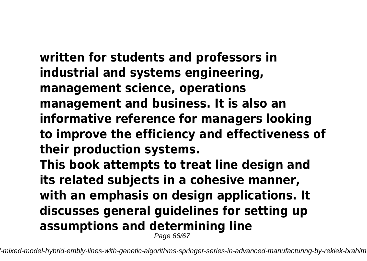**written for students and professors in industrial and systems engineering, management science, operations management and business. It is also an informative reference for managers looking to improve the efficiency and effectiveness of their production systems. This book attempts to treat line design and its related subjects in a cohesive manner, with an emphasis on design applications. It discusses general guidelines for setting up**

**assumptions and determining line**

Page 66/67